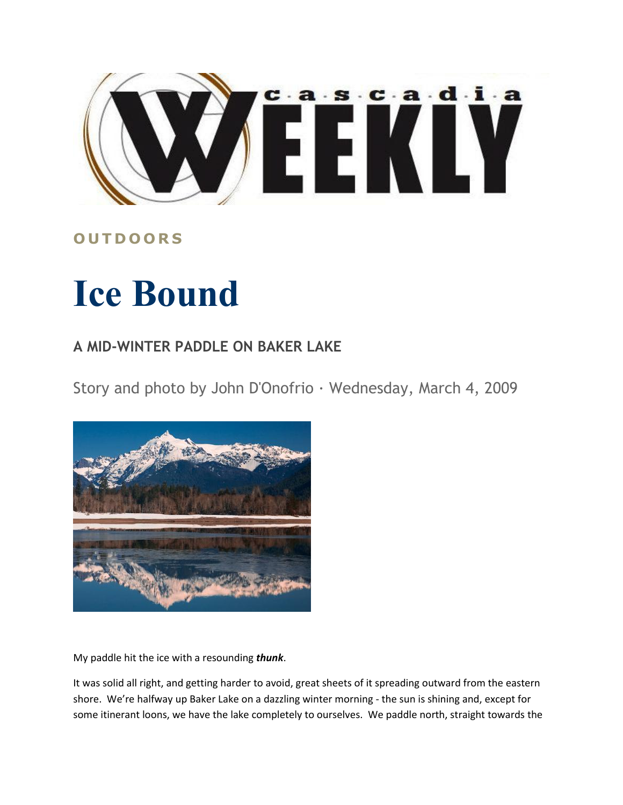

## **O U T D O O R S**

## **Ice Bound**

## **A MID-WINTER PADDLE ON BAKER LAKE**

Story and photo by John D'Onofrio · Wednesday, March 4, 2009



My paddle hit the ice with a resounding *thunk*.

It was solid all right, and getting harder to avoid, great sheets of it spreading outward from the eastern shore. We're halfway up Baker Lake on a dazzling winter morning - the sun is shining and, except for some itinerant loons, we have the lake completely to ourselves. We paddle north, straight towards the